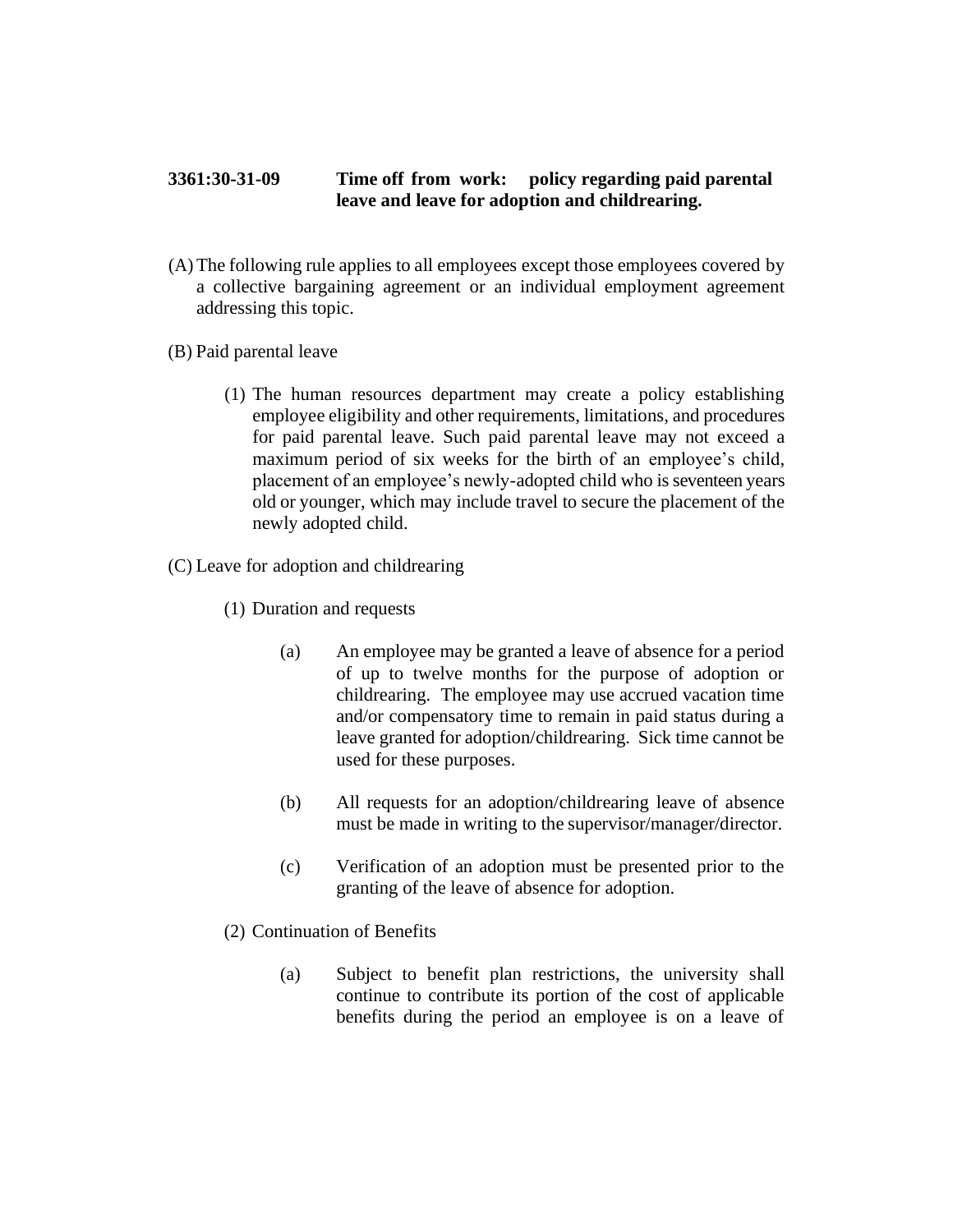## **3361:30-31-09 Time off from work: policy regarding paid parental leave and leave for adoption and childrearing.**

- (A) The following rule applies to all employees except those employees covered by a collective bargaining agreement or an individual employment agreement addressing this topic.
- (B) Paid parental leave
	- (1) The human resources department may create a policy establishing employee eligibility and other requirements, limitations, and procedures for paid parental leave. Such paid parental leave may not exceed a maximum period of six weeks for the birth of an employee's child, placement of an employee's newly-adopted child who is seventeen years old or younger, which may include travel to secure the placement of the newly adopted child.
- (C) Leave for adoption and childrearing
	- (1) Duration and requests
		- (a) An employee may be granted a leave of absence for a period of up to twelve months for the purpose of adoption or childrearing. The employee may use accrued vacation time and/or compensatory time to remain in paid status during a leave granted for adoption/childrearing. Sick time cannot be used for these purposes.
		- (b) All requests for an adoption/childrearing leave of absence must be made in writing to the supervisor/manager/director.
		- (c) Verification of an adoption must be presented prior to the granting of the leave of absence for adoption.
	- (2) Continuation of Benefits
		- (a) Subject to benefit plan restrictions, the university shall continue to contribute its portion of the cost of applicable benefits during the period an employee is on a leave of